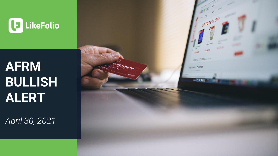

# **AFRM BULLISH ALERT**

*April 30, 2021*

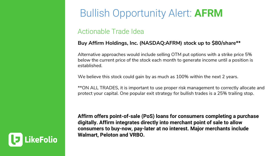## Bullish Opportunity Alert: **AFRM**

#### Actionable Trade Idea

#### **Buy Affirm Holdings, Inc. (NASDAQ:AFRM) stock up to \$80/share\*\***

Alternative approaches would include selling OTM put options with a strike price 5% below the current price of the stock each month to generate income until a position is established.

We believe this stock could gain by as much as 100% within the next 2 years.

\*\*ON ALL TRADES, it is important to use proper risk management to correctly allocate and protect your capital. One popular exit strategy for bullish trades is a 25% trailing stop.

**Affirm offers point-of-sale (PoS) loans for consumers completing a purchase digitally. Affirm integrates directly into merchant point of sale to allow consumers to buy-now, pay-later at no interest. Major merchants include Walmart, Peloton and VRBO.**

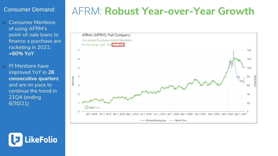#### Consumer Demand:

o Consumer Mentions of using AFRM's point-of-sale loans to finance a purchase are rocketing in 2021: **+60% YoY**

o PI Mentions have improved YoY in **26 consecutive quarters**  and are on pace to continue the trend in 21Q4 (ending 6/30/21)

## AFRM: **Robust Year-over-Year Growth**



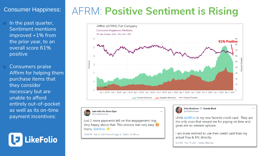#### Consumer Happiness:

- o In the past quarter, Sentiment mentions improved +1% from the prior year, to an overall score 61% positive
- o Consumers praise Affirm for helping them purchase items that they consider necessary but are unable to afford entirely out-of-pocket as well as its on-time payment incentives:



## AFRM: **Positive Sentiment is Rising**



Josh with the Green Eyes @kingoftheswipe

Just 2 more payments left on this engagement ring. Very happy about that. This process was very easy  $\Theta$ thanx, @Affirm

12:04 PM · Feb 12, 2021 from Chicago, IL · Twitter for iPhone

#### Kitty Bradshaw >: Openly Black @KittyBradshaw

Uhhh @Affirm is my new favorite credit card. They are the only ones that reward me for paying on time and gives me no interest options.

 $\cdots$ 

I am more inclined to use their credit card than my actual Visa & MC directly.

4:15 PM · Mar 15, 2021 · Twitter Web App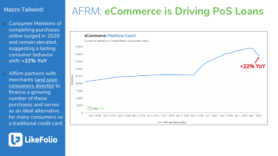#### Macro Tailwind:

- o Consumer Mentions of completing purchases online surged in 2020 and remain elevated, suggesting a lasting consumer behavior shift: **+22% YoY**
- o Affirm partners with [merchants \(and soon](https://www.affirm.com/press/releases/affirm-announces-the-affirm-card) consumers directly) to finance a growing number of these purchases and serves as an ideal alternative for many consumers vs a traditional credit card

**ikeFolio** 

## AFRM: **eCommerce is Driving PoS Loans**

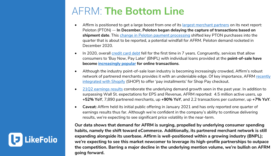## AFRM: **The Bottom Line**

- Affirm is positioned to get a large boost from one of its [largest merchant partners](https://news.crunchbase.com/news/affirm-s1-ipo/) on its next report: Peloton (PTON) -- **In December, Peloton began delaying the capture of transactions based on shipment date**. This [change in Peloton payment processing](https://www.yahoo.com/now/edited-transcript-afrm-oq-earnings-220000627.html) shifted key PTON purchases into the quarter that is about to be reported, a potential windfall for AFRM. Peloton demand rocketed in December 2020.
- In 2020, overall [credit card debt](https://www.experian.com/blogs/ask-experian/state-of-credit-cards/#:~:text=Prior%20to%202020%2C%20consumer%20credit,the%20lowest%20point%20since%202017.) fell for the first time in 7 years. Congruently, services that allow consumers to 'Buy Now, Pay Later' (BNPL) with individual loans provided at the **point-of-sale have become [increasingly popular](https://adage.com/article/cmo-strategy/rise-buy-now-pay-later-brands-sparks-new-lending-industry-marketing-battle/2320391) for online transactions**.
- Although the industry point-of-sale loan industry is becoming increasingly crowded, Affirm's robust [network of partnered merchants provides it with an undeniable edge. Of key importance, AFRM recently](https://www.affirm.com/press/releases/affirm-to-power-shopify-shop-pay-installments) integrated with Shopify (SHOP) to offer 'pay installments' for Shop Pay checkout.
- [21Q2 earnings results](file:///C:/Users/Megan/Downloads/•	Affirm’s 21Q2 earnings results surpassed Wall St. expectations for both EPS and revenue. The report also revealed growth in several key areas) corroborate the underlying demand growth seen in the past year. In addition to surpassing Wall St. expectations for EPS and Revenue, AFRM reported: 4.5 million active users, up **+52% YoY**, 7,890 partnered merchants, up **+90% YoY**, and 2.2 transactions per customer, up **+7% YoY**.
- **Caveat:** Affirm held its initial public offering in January 2021 and has only reported one quarter of earnings results thus far. Although we're confident in the company's ability to continue delivering results, we're expecting to see significant price volatility in the near-term.

**Our data shows that demand for AFRM is surging, propelled by underlying consumer spending habits, namely the shift toward eCommerce. Additionally, its partnered merchant network is still expanding alongside its userbase. Affirm is well-positioned within a growing industry (BNPL); we're expecting to see this market newcomer to leverage its high-profile partnerships to outpace the competition. Barring a major decline in the underlying mention volume, we're bullish on AFRM going forward.**

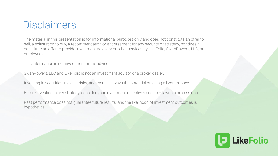### **Disclaimers**

The material in this presentation is for informational purposes only and does not constitute an offer to sell, a solicitation to buy, a recommendation or endorsement for any security or strategy, nor does it constitute an offer to provide investment advisory or other services by LikeFolio, SwanPowers, LLC, or its employees.

This information is not investment or tax advice.

SwanPowers, LLC and LikeFolio is not an investment advisor or a broker dealer.

Investing in securities involves risks, and there is always the potential of losing all your money.

Before investing in any strategy, consider your investment objectives and speak with a professional.

Past performance does not guarantee future results, and the likelihood of investment outcomes is hypothetical.